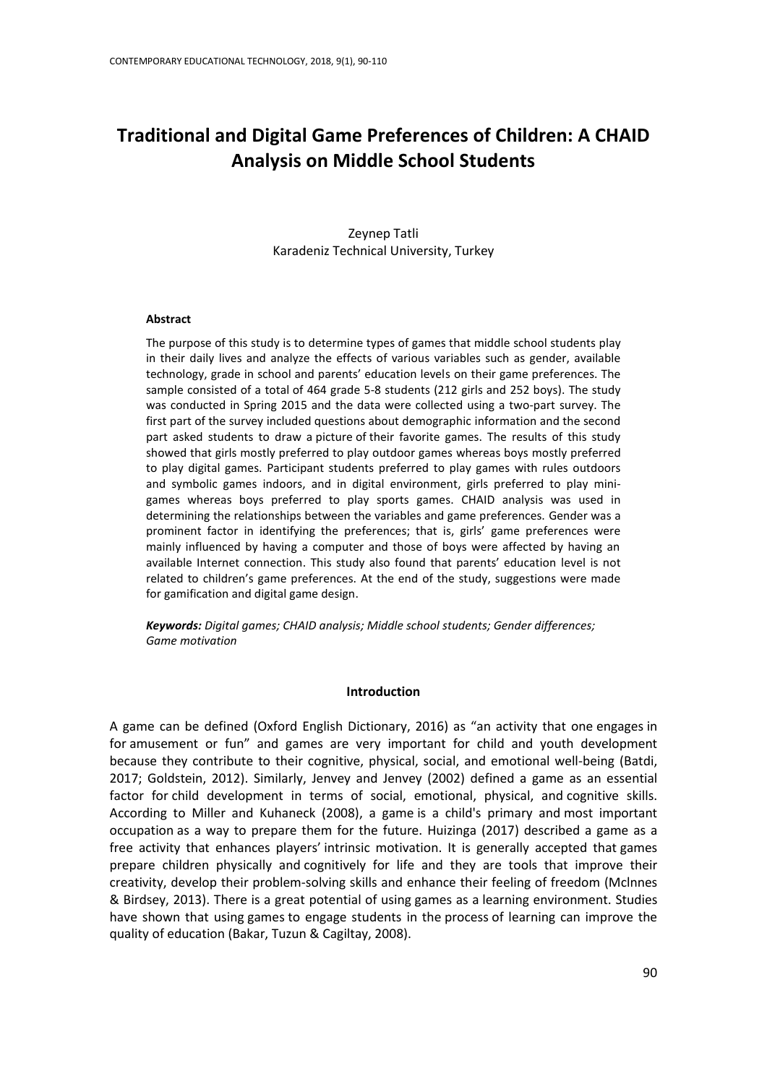# **Traditional and Digital Game Preferences of Children: A CHAID Analysis on Middle School Students**

Zeynep Tatli Karadeniz Technical University, Turkey

#### **Abstract**

The purpose of this study is to determine types of games that middle school students play in their daily lives and analyze the effects of various variables such as gender, available technology, grade in school and parents' education levels on their game preferences. The sample consisted of a total of 464 grade 5-8 students (212 girls and 252 boys). The study was conducted in Spring 2015 and the data were collected using a two-part survey. The first part of the survey included questions about demographic information and the second part asked students to draw a picture of their favorite games. The results of this study showed that girls mostly preferred to play outdoor games whereas boys mostly preferred to play digital games. Participant students preferred to play games with rules outdoors and symbolic games indoors, and in digital environment, girls preferred to play minigames whereas boys preferred to play sports games. CHAID analysis was used in determining the relationships between the variables and game preferences. Gender was a prominent factor in identifying the preferences; that is, girls' game preferences were mainly influenced by having a computer and those of boys were affected by having an available Internet connection. This study also found that parents' education level is not related to children's game preferences. At the end of the study, suggestions were made for gamification and digital game design.

*Keywords: Digital games; CHAID analysis; Middle school students; Gender differences; Game motivation* 

#### **Introduction**

A game can be defined (Oxford English Dictionary, 2016) as "an activity that one [engages](http://www.oxforddictionaries.com/definition/english/engage#engage__17) in for [amusement](http://www.oxforddictionaries.com/definition/english/amusement#amusement__8) or fun" and games are very important for child and youth development because they contribute to their cognitive, physical, social, and emotional well-being (Batdi, 2017; Goldstein, 2012). Similarly, Jenvey and Jenvey (2002) defined a game as an essential factor for child development in terms of social, emotional, physical, and cognitive skills. According to Miller and Kuhaneck (2008), a game is a child's primary and most important occupation as a way to prepare them for the future. Huizinga (2017) described a game as a free activity that enhances players' intrinsic motivation. It is generally accepted that games prepare children physically and cognitively for life and they are tools that improve their creativity, develop their problem-solving skills and enhance their feeling of freedom (Mclnnes & Birdsey, 2013). There is a great potential of using games as a learning environment. Studies have shown that using games to engage students in the process of learning can improve the quality of education (Bakar, Tuzun & Cagiltay, 2008).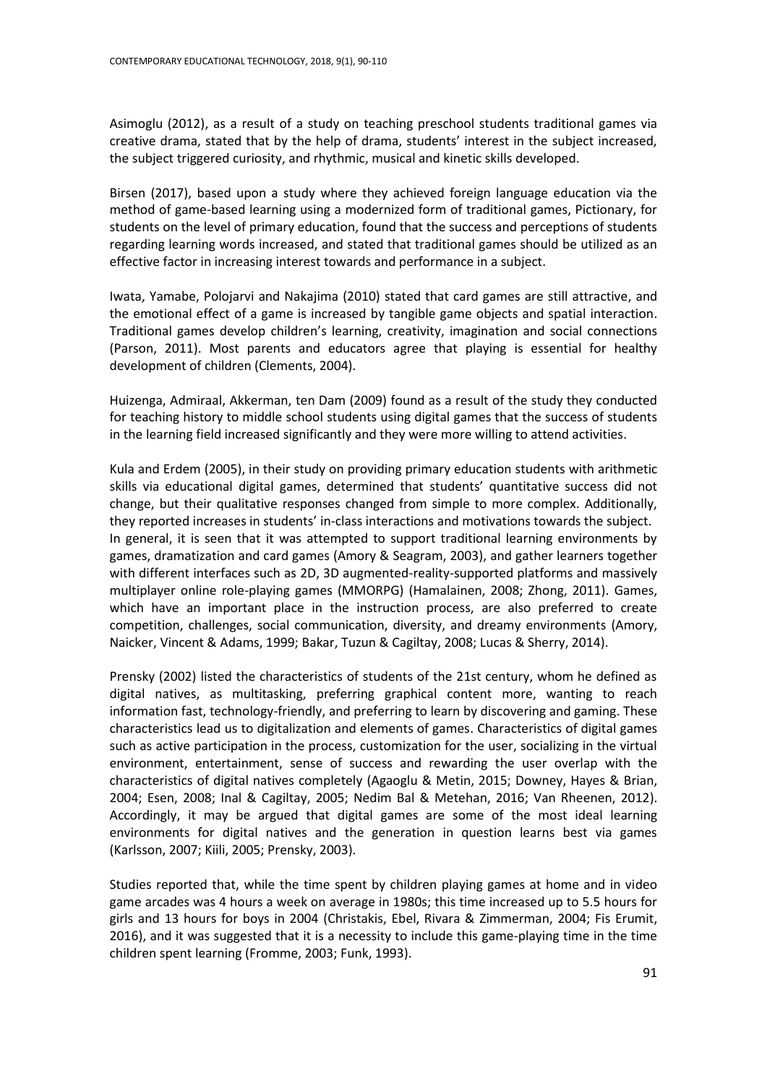Asimoglu (2012), as a result of a study on teaching preschool students traditional games via creative drama, stated that by the help of drama, students' interest in the subject increased, the subject triggered curiosity, and rhythmic, musical and kinetic skills developed.

Birsen (2017), based upon a study where they achieved foreign language education via the method of game-based learning using a modernized form of traditional games, Pictionary, for students on the level of primary education, found that the success and perceptions of students regarding learning words increased, and stated that traditional games should be utilized as an effective factor in increasing interest towards and performance in a subject.

Iwata, Yamabe, Polojarvi and Nakajima (2010) stated that card games are still attractive, and the emotional effect of a game is increased by tangible game objects and spatial interaction. Traditional games develop children's learning, creativity, imagination and social connections (Parson, 2011). Most parents and educators agree that playing is essential for healthy development of children (Clements, 2004).

Huizenga, Admiraal, Akkerman, ten Dam (2009) found as a result of the study they conducted for teaching history to middle school students using digital games that the success of students in the learning field increased significantly and they were more willing to attend activities.

Kula and Erdem (2005), in their study on providing primary education students with arithmetic skills via educational digital games, determined that students' quantitative success did not change, but their qualitative responses changed from simple to more complex. Additionally, they reported increases in students' in-class interactions and motivations towards the subject. In general, it is seen that it was attempted to support traditional learning environments by games, dramatization and card games (Amory & Seagram, 2003), and gather learners together with different interfaces such as 2D, 3D augmented-reality-supported platforms and massively multiplayer online role-playing games [\(MMORPG\)](http://journals.sagepub.com/doi/abs/10.1177/0020764012445861) (Hamalainen, 2008; Zhong, 2011). Games, which have an important place in the instruction process, are also preferred to create competition, challenges, social communication, diversity, and dreamy environments (Amory, Naicker, Vincent & Adams, 1999; Bakar, Tuzun & Cagiltay, 2008; Lucas & Sherry, 2014).

Prensky (2002) listed the characteristics of students of the 21st century, whom he defined as digital natives, as multitasking, preferring graphical content more, wanting to reach information fast, technology-friendly, and preferring to learn by discovering and gaming. These characteristics lead us to digitalization and elements of games. Characteristics of digital games such as active participation in the process, customization for the user, socializing in the virtual environment, entertainment, sense of success and rewarding the user overlap with the characteristics of digital natives completely (Agaoglu & Metin, 2015; Downey, Hayes & Brian, 2004; Esen, 2008; Inal & Cagiltay, 2005; Nedim Bal & Metehan, 2016; Van Rheenen, 2012). Accordingly, it may be argued that digital games are some of the most ideal learning environments for digital natives and the generation in question learns best via games (Karlsson, 2007; Kiili, 2005; Prensky, 2003).

Studies reported that, while the time spent by children playing games at home and in video game arcades was 4 hours a week on average in 1980s; this time increased up to 5.5 hours for girls and 13 hours for boys in 2004 (Christakis, Ebel, Rivara & Zimmerman, 2004; Fis Erumit, 2016), and it was suggested that it is a necessity to include this game-playing time in the time children spent learning (Fromme, 2003; Funk, 1993).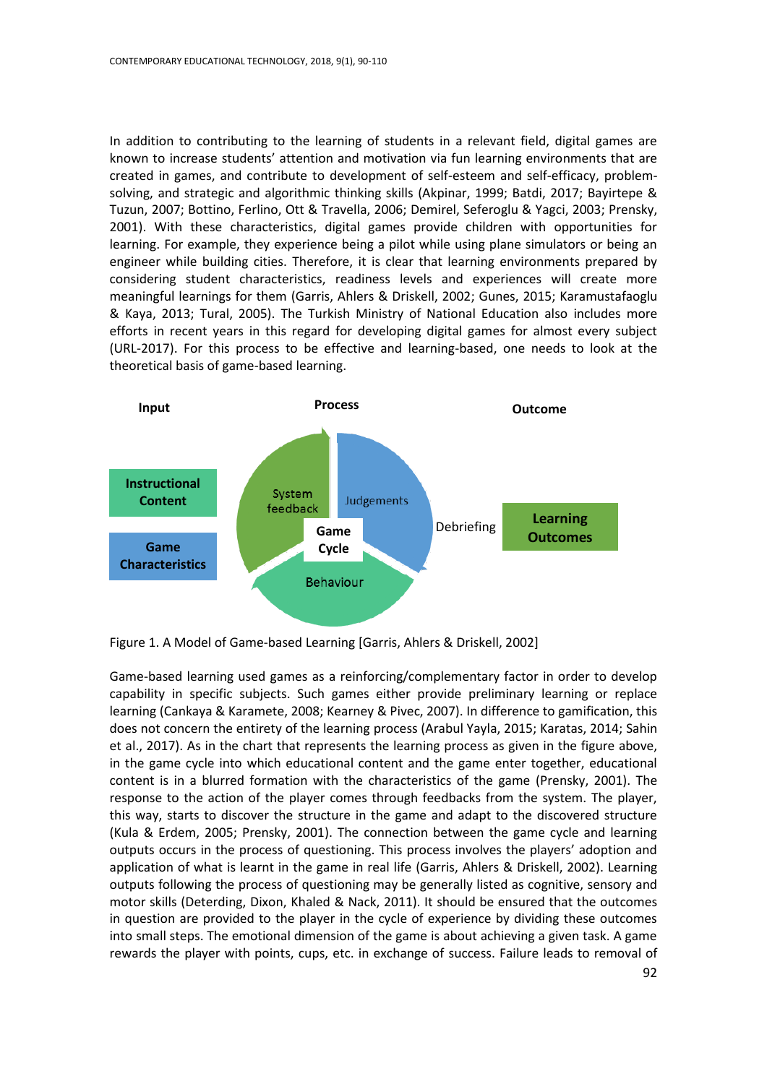In addition to contributing to the learning of students in a relevant field, digital games are known to increase students' attention and motivation via fun learning environments that are created in games, and contribute to development of self-esteem and self-efficacy, problemsolving, and strategic and algorithmic thinking skills (Akpinar, 1999; Batdi, 2017; Bayirtepe & Tuzun, 2007; Bottino, Ferlino, Ott & Travella, 2006; Demirel, Seferoglu & Yagci, 2003; Prensky, 2001). With these characteristics, digital games provide children with opportunities for learning. For example, they experience being a pilot while using plane simulators or being an engineer while building cities. Therefore, it is clear that learning environments prepared by considering student characteristics, readiness levels and experiences will create more meaningful learnings for them (Garris, Ahlers & Driskell, 2002; Gunes, 2015; Karamustafaoglu & Kaya, 2013; Tural, 2005). The Turkish Ministry of National Education also includes more efforts in recent years in this regard for developing digital games for almost every subject (URL-2017). For this process to be effective and learning-based, one needs to look at the theoretical basis of game-based learning.



Figure 1. A Model of Game-based Learning [Garris, Ahlers & Driskell, 2002]

Game-based learning used games as a reinforcing/complementary factor in order to develop capability in specific subjects. Such games either provide preliminary learning or replace learning (Cankaya & Karamete, 2008; Kearney & Pivec, 2007). In difference to gamification, this does not concern the entirety of the learning process (Arabul Yayla, 2015; Karatas, 2014; Sahin et al., 2017). As in the chart that represents the learning process as given in the figure above, in the game cycle into which educational content and the game enter together, educational content is in a blurred formation with the characteristics of the game (Prensky, 2001). The response to the action of the player comes through feedbacks from the system. The player, this way, starts to discover the structure in the game and adapt to the discovered structure (Kula & Erdem, 2005; Prensky, 2001). The connection between the game cycle and learning outputs occurs in the process of questioning. This process involves the players' adoption and application of what is learnt in the game in real life (Garris, Ahlers & Driskell, 2002). Learning outputs following the process of questioning may be generally listed as cognitive, sensory and motor skills (Deterding, Dixon, Khaled & Nack, 2011). It should be ensured that the outcomes in question are provided to the player in the cycle of experience by dividing these outcomes into small steps. The emotional dimension of the game is about achieving a given task. A game rewards the player with points, cups, etc. in exchange of success. Failure leads to removal of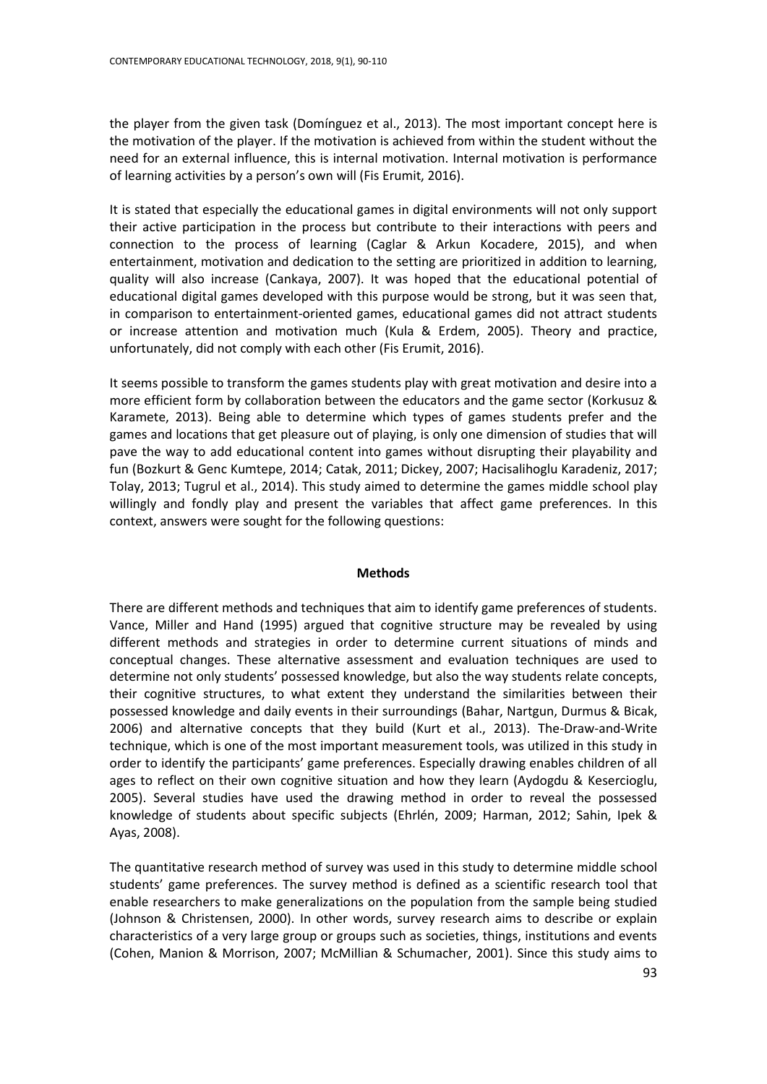the player from the given task (Domínguez et al., 2013). The most important concept here is the motivation of the player. If the motivation is achieved from within the student without the need for an external influence, this is internal motivation. Internal motivation is performance of learning activities by a person's own will (Fis Erumit, 2016).

It is stated that especially the educational games in digital environments will not only support their active participation in the process but contribute to their interactions with peers and connection to the process of learning (Caglar & Arkun Kocadere, 2015), and when entertainment, motivation and dedication to the setting are prioritized in addition to learning, quality will also increase (Cankaya, 2007). It was hoped that the educational potential of educational digital games developed with this purpose would be strong, but it was seen that, in comparison to entertainment-oriented games, educational games did not attract students or increase attention and motivation much (Kula & Erdem, 2005). Theory and practice, unfortunately, did not comply with each other (Fis Erumit, 2016).

It seems possible to transform the games students play with great motivation and desire into a more efficient form by collaboration between the educators and the game sector (Korkusuz & Karamete, 2013). Being able to determine which types of games students prefer and the games and locations that get pleasure out of playing, is only one dimension of studies that will pave the way to add educational content into games without disrupting their playability and fun (Bozkurt & Genc Kumtepe, 2014; Catak, 2011; Dickey, 2007; Hacisalihoglu Karadeniz, 2017; Tolay, 2013; Tugrul et al., 2014). This study aimed to determine the games middle school play willingly and fondly play and present the variables that affect game preferences. In this context, answers were sought for the following questions:

# **Methods**

There are different methods and techniques that aim to identify game preferences of students. Vance, Miller and Hand (1995) argued that cognitive structure may be revealed by using different methods and strategies in order to determine current situations of minds and conceptual changes. These alternative assessment and evaluation techniques are used to determine not only students' possessed knowledge, but also the way students relate concepts, their cognitive structures, to what extent they understand the similarities between their possessed knowledge and daily events in their surroundings (Bahar, Nartgun, Durmus & Bicak, 2006) and alternative concepts that they build (Kurt et al., 2013). The-Draw-and-Write technique, which is one of the most important measurement tools, was utilized in this study in order to identify the participants' game preferences. Especially drawing enables children of all ages to reflect on their own cognitive situation and how they learn (Aydogdu & Kesercioglu, 2005). Several studies have used the drawing method in order to reveal the possessed knowledge of students about specific subjects (Ehrlén, 2009; Harman, 2012; Sahin, Ipek & Ayas, 2008).

The quantitative research method of survey was used in this study to determine middle school students' game preferences. The survey method is defined as a scientific research tool that enable researchers to make generalizations on the population from the sample being studied (Johnson & Christensen, 2000). In other words, survey research aims to describe or explain characteristics of a very large group or groups such as societies, things, institutions and events (Cohen, Manion & Morrison, 2007; McMillian & Schumacher, 2001). Since this study aims to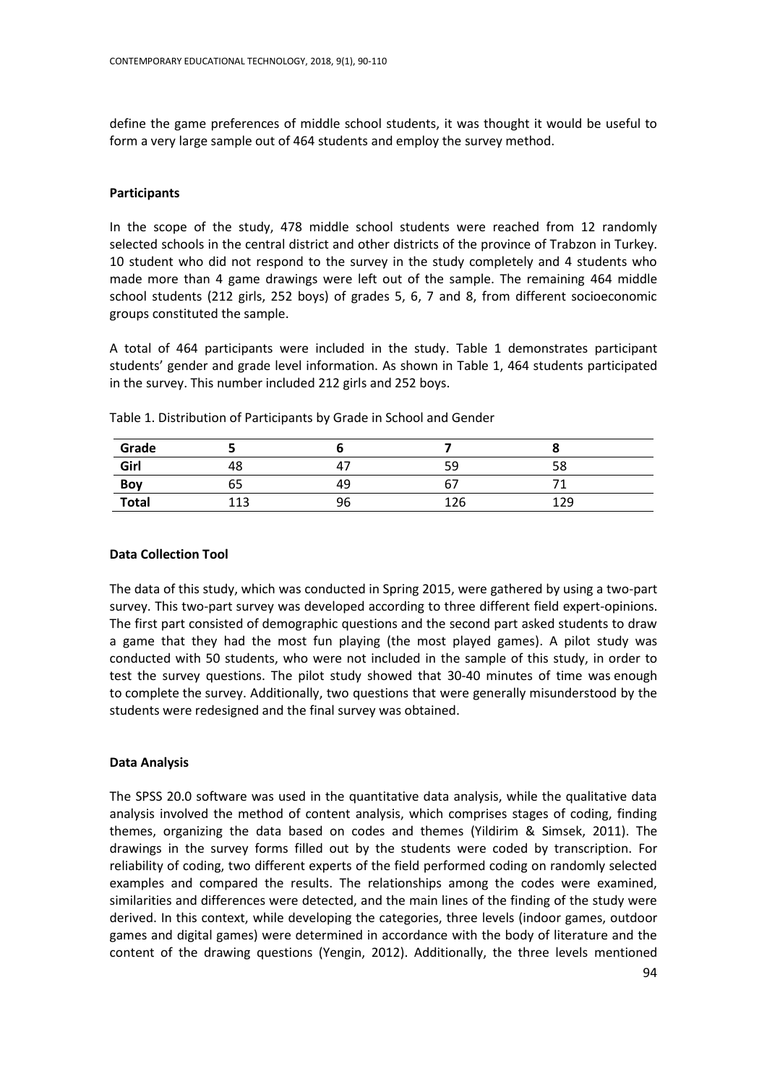define the game preferences of middle school students, it was thought it would be useful to form a very large sample out of 464 students and employ the survey method.

# **Participants**

In the scope of the study, 478 middle school students were reached from 12 randomly selected schools in the central district and other districts of the province of Trabzon in Turkey. 10 student who did not respond to the survey in the study completely and 4 students who made more than 4 game drawings were left out of the sample. The remaining 464 middle school students (212 girls, 252 boys) of grades 5, 6, 7 and 8, from different socioeconomic groups constituted the sample.

A total of 464 participants were included in the study. Table 1 demonstrates participant students' gender and grade level information. As shown in Table 1, 464 students participated in the survey. This number included 212 girls and 252 boys.

| Grade        |        |    |     |     |  |
|--------------|--------|----|-----|-----|--|
| Girl         | 48     |    | 59  | 58  |  |
| Boy          | 65     | 49 | b   |     |  |
| <b>Total</b> | $\sim$ | 96 | 126 | 129 |  |

Table 1. Distribution of Participants by Grade in School and Gender

# **Data Collection Tool**

The data of this study, which was conducted in Spring 2015, were gathered by using a two-part survey. This two-part survey was developed according to three different field expert-opinions. The first part consisted of demographic questions and the second part asked students to draw a game that they had the most fun playing (the most played games). A pilot study was conducted with 50 students, who were not included in the sample of this study, in order to test the survey questions. The pilot study showed that 30-40 minutes of time was enough to complete the survey. Additionally, two questions that were generally misunderstood by the students were redesigned and the final survey was obtained.

# **Data Analysis**

The SPSS 20.0 software was used in the quantitative data analysis, while the qualitative data analysis involved the method of content analysis, which comprises stages of coding, finding themes, organizing the data based on codes and themes (Yildirim & Simsek, 2011). The drawings in the survey forms filled out by the students were coded by transcription. For reliability of coding, two different experts of the field performed coding on randomly selected examples and compared the results. The relationships among the codes were examined, similarities and differences were detected, and the main lines of the finding of the study were derived. In this context, while developing the categories, three levels (indoor games, outdoor games and digital games) were determined in accordance with the body of literature and the content of the drawing questions (Yengin, 2012). Additionally, the three levels mentioned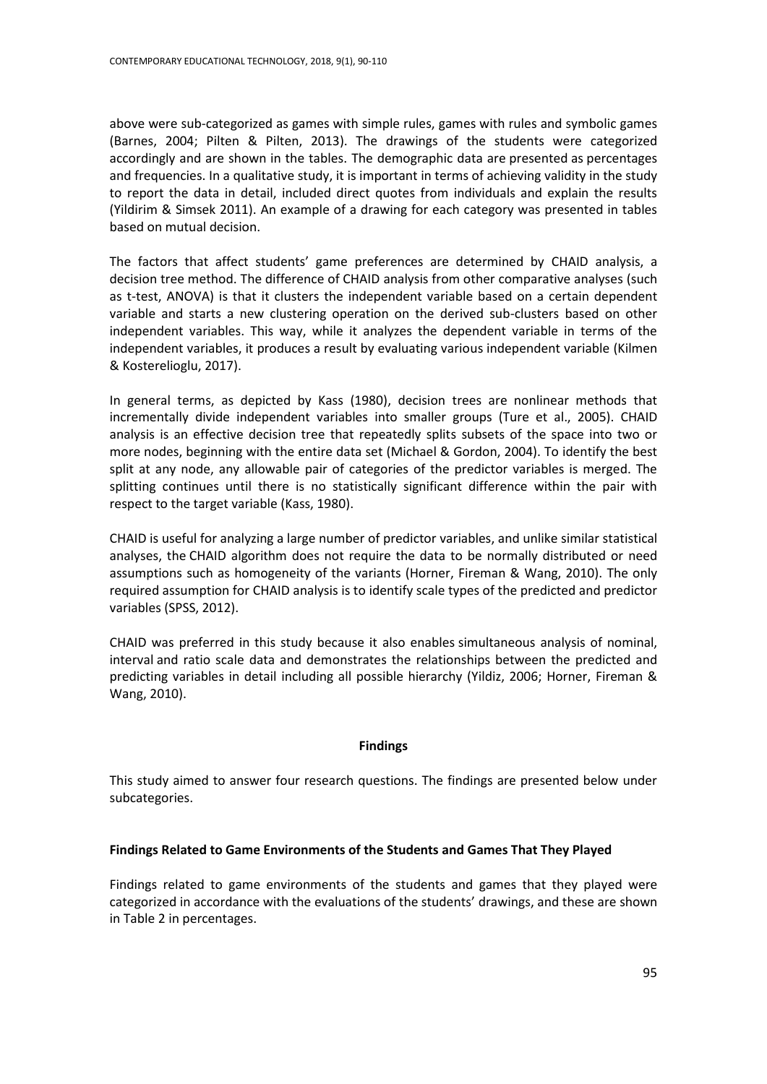above were sub-categorized as games with simple rules, games with rules and symbolic games (Barnes, 2004; Pilten & Pilten, 2013). The drawings of the students were categorized accordingly and are shown in the tables. The demographic data are presented as percentages and frequencies. In a qualitative study, it is important in terms of achieving validity in the study to report the data in detail, included direct quotes from individuals and explain the results (Yildirim & Simsek 2011). An example of a drawing for each category was presented in tables based on mutual decision.

The factors that affect students' game preferences are determined by CHAID analysis, a decision tree method. The difference of CHAID analysis from other comparative analyses (such as t-test, ANOVA) is that it clusters the independent variable based on a certain dependent variable and starts a new clustering operation on the derived sub-clusters based on other independent variables. This way, while it analyzes the dependent variable in terms of the independent variables, it produces a result by evaluating various independent variable (Kilmen & Kosterelioglu, 2017).

In general terms, as depicted by Kass (1980), decision trees are nonlinear methods that [incrementally](http://tureng.com/tr/turkce-ingilizce/incrementally) divide independent variables into smaller groups (Ture et al., 2005). CHAID analysis is an effective decision tree that repeatedly splits subsets of the space into two or more nodes, beginning with the entire data set (Michael & Gordon, 2004). To identify the best split at any node, any allowable pair of categories of the predictor variables is merged. The splitting continues until there is no statistically significant difference within the pair with respect to the target variable (Kass, 1980).

CHAID is useful for analyzing a large number of predictor variables, and unlike similar statistical analyses, the CHAID algorithm does not require the data to be normally distributed or need assumptions such as homogeneity of the variants (Horner, Fireman & Wang, 2010). The only required assumption for CHAID analysis is to identify scale types of the predicted and predictor variables (SPSS, 2012).

CHAID was preferred in this study because it also enables simultaneous analysis of nominal, interval and ratio scale data and demonstrates the relationships between the predicted and predicting variables in detail including all possible hierarchy (Yildiz, 2006; Horner, Fireman & Wang, 2010).

# **Findings**

This study aimed to answer four research questions. The findings are presented below under subcategories.

# **Findings Related to Game Environments of the Students and Games That They Played**

Findings related to game environments of the students and games that they played were categorized in accordance with the evaluations of the students' drawings, and these are shown in Table 2 in percentages.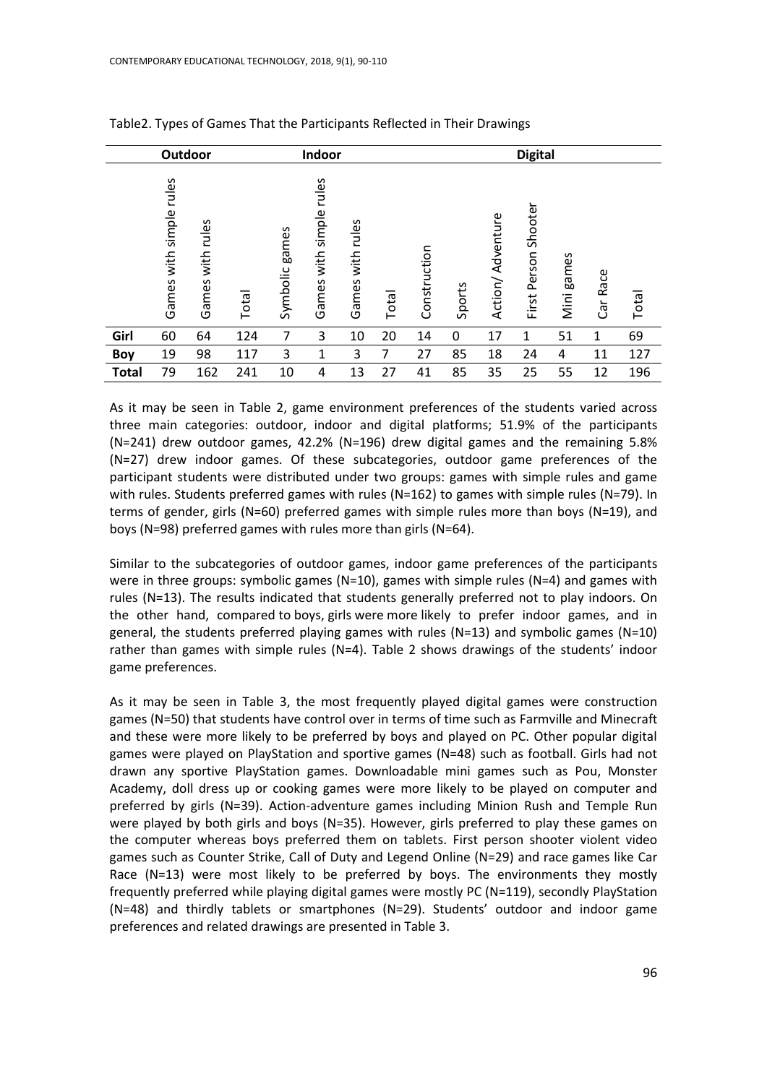| Outdoor      |                               |                        |       | Indoor         |                                  |                        | <b>Digital</b> |              |        |                  |                             |               |           |       |
|--------------|-------------------------------|------------------------|-------|----------------|----------------------------------|------------------------|----------------|--------------|--------|------------------|-----------------------------|---------------|-----------|-------|
|              | rules<br>with simple<br>Games | rules<br>with<br>Games | Total | Symbolic games | rules<br>simple<br>with<br>Games | rules<br>with<br>Games | Total          | Construction | Sports | Action/Adventure | Shooter<br>Person:<br>First | games<br>Mini | Race<br>Ğ | Total |
| Girl         | 60                            | 64                     | 124   | 7              | 3                                | 10                     | 20             | 14           | 0      | 17               | 1                           | 51            | 1         | 69    |
| <b>Boy</b>   | 19                            | 98                     | 117   | 3              | 1                                | 3                      | 7              | 27           | 85     | 18               | 24                          | 4             | 11        | 127   |
| <b>Total</b> | 79                            | 162                    | 241   | 10             | 4                                | 13                     | 27             | 41           | 85     | 35               | 25                          | 55            | 12        | 196   |

Table2. Types of Games That the Participants Reflected in Their Drawings

As it may be seen in Table 2, game environment preferences of the students varied across three main categories: outdoor, indoor and digital platforms; 51.9% of the participants (N=241) drew outdoor games, 42.2% (N=196) drew digital games and the remaining 5.8% (N=27) drew indoor games. Of these subcategories, outdoor game preferences of the participant students were distributed under two groups: games with simple rules and game with rules. Students preferred games with rules (N=162) to games with simple rules (N=79). In terms of gender, girls (N=60) preferred games with simple rules more than boys (N=19), and boys (N=98) preferred games with rules more than girls (N=64).

Similar to the subcategories of outdoor games, indoor game preferences of the participants were in three groups: symbolic games  $(N=10)$ , games with simple rules  $(N=4)$  and games with rules (N=13). The results indicated that students generally preferred not to play indoors. On the other hand, compared to boys, girls were more likely to prefer indoor games, and in general, the students preferred playing games with rules ( $N=13$ ) and symbolic games ( $N=10$ ) rather than games with simple rules (N=4). Table 2 shows drawings of the students' indoor game preferences.

As it may be seen in Table 3, the most frequently played digital games were construction games (N=50) that students have control over in terms of time such as Farmville and Minecraft and these were more likely to be preferred by boys and played on PC. Other popular digital games were played on PlayStation and sportive games (N=48) such as football. Girls had not drawn any sportive PlayStation games. Downloadable mini games such as Pou, Monster Academy, doll dress up or cooking games were more likely to be played on computer and preferred by girls (N=39). Action-adventure games including Minion Rush and Temple Run were played by both girls and boys (N=35). However, girls preferred to play these games on the computer whereas boys preferred them on tablets. First person shooter violent video games such as Counter Strike, Call of Duty and Legend Online (N=29) and race games like Car Race  $(N=13)$  were most likely to be preferred by boys. The environments they mostly frequently preferred while playing digital games were mostly PC (N=119), secondly PlayStation (N=48) and thirdly tablets or smartphones (N=29). Students' outdoor and indoor game preferences and related drawings are presented in Table 3.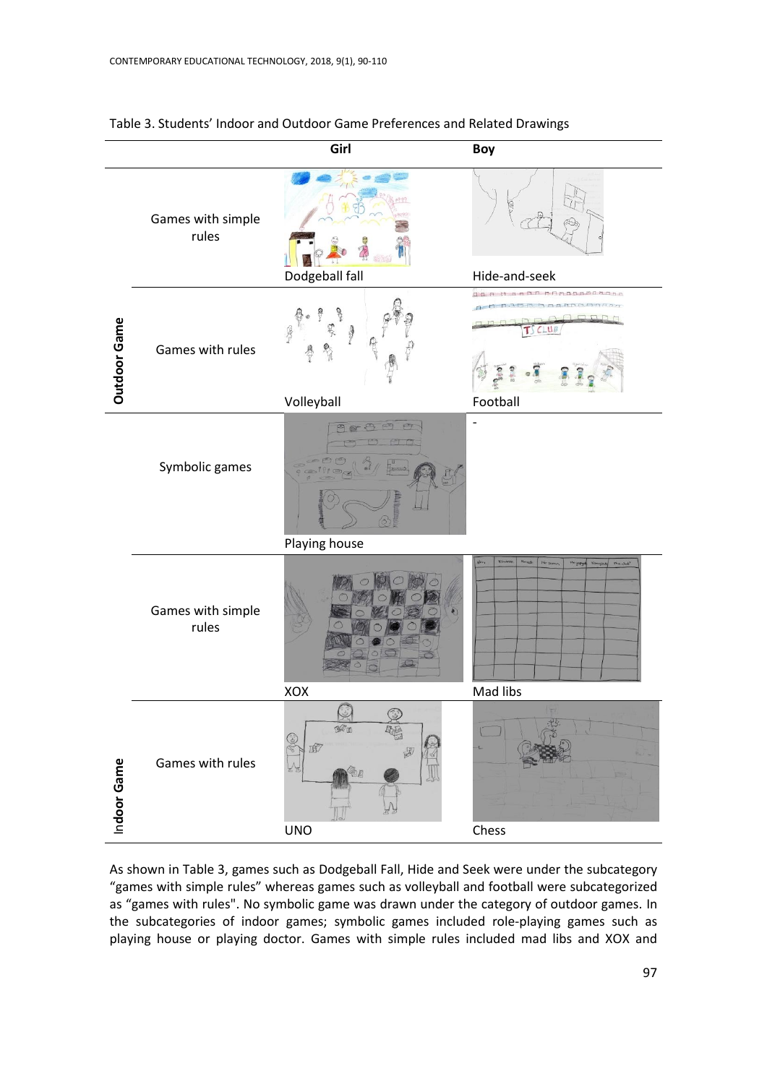|              |                            | Girl                                                                | Boy                                                                                              |  |  |
|--------------|----------------------------|---------------------------------------------------------------------|--------------------------------------------------------------------------------------------------|--|--|
|              | Games with simple<br>rules | Dodgeball fall                                                      | Hide-and-seek                                                                                    |  |  |
| Outdoor Game | Games with rules           | 突<br>Volleyball                                                     | haannoonna<br>Football                                                                           |  |  |
|              | Symbolic games             | G<br>Playing house                                                  |                                                                                                  |  |  |
|              | Games with simple<br>rules | XOX                                                                 | Nevert<br><b>Kimarde</b><br>Ne gun<br>$\mu_{\rm in-shell}$<br>ó.<br>Newcycle Kongrey<br>Mad libs |  |  |
| Indoor Game  | Games with rules           | $\odot$<br>$M_{\odot}$<br>er (de:<br>f<br>园<br>k<br>固<br><b>UNO</b> | Chess                                                                                            |  |  |

Table 3. Students' Indoor and Outdoor Game Preferences and Related Drawings

As shown in Table 3, games such as Dodgeball Fall, Hide and Seek were under the subcategory "games with simple rules" whereas games such as volleyball and football were subcategorized as "games with rules". No symbolic game was drawn under the category of outdoor games. In the subcategories of indoor games; symbolic games included role-playing games such as playing house or playing doctor. Games with simple rules included mad libs and XOX and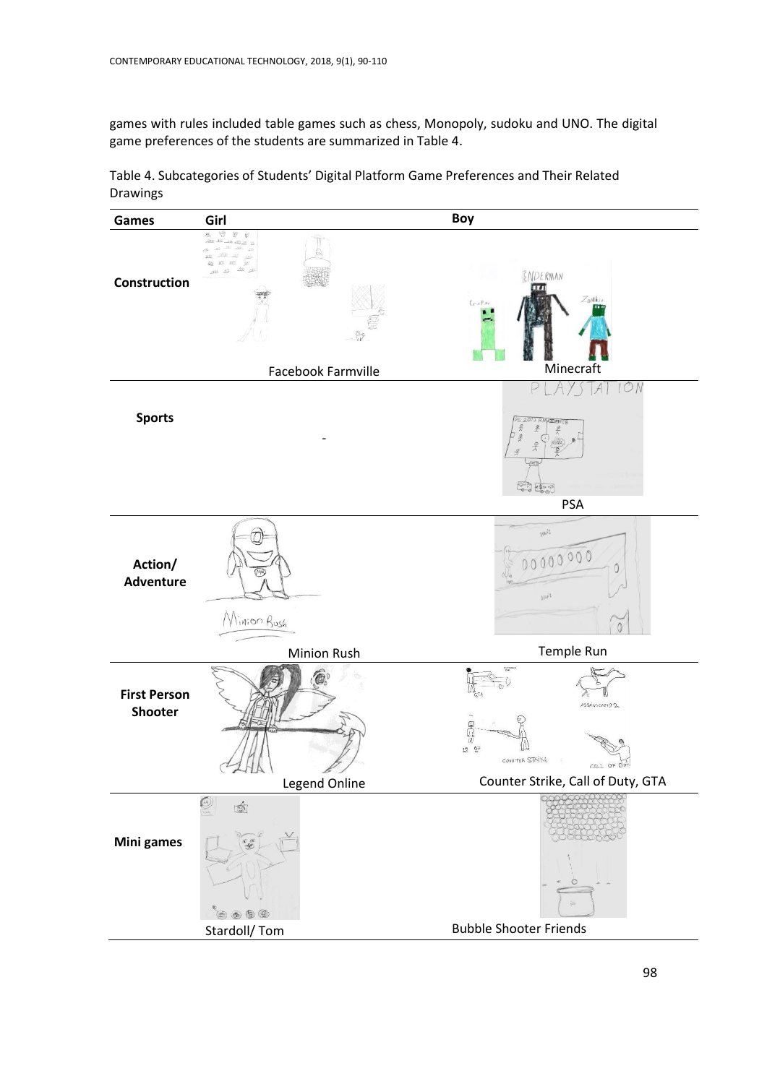games with rules included table games such as chess, Monopoly, sudoku and UNO. The digital game preferences of the students are summarized in Table 4.

Table 4. Subcategories of Students' Digital Platform Game Preferences and Their Related Drawings

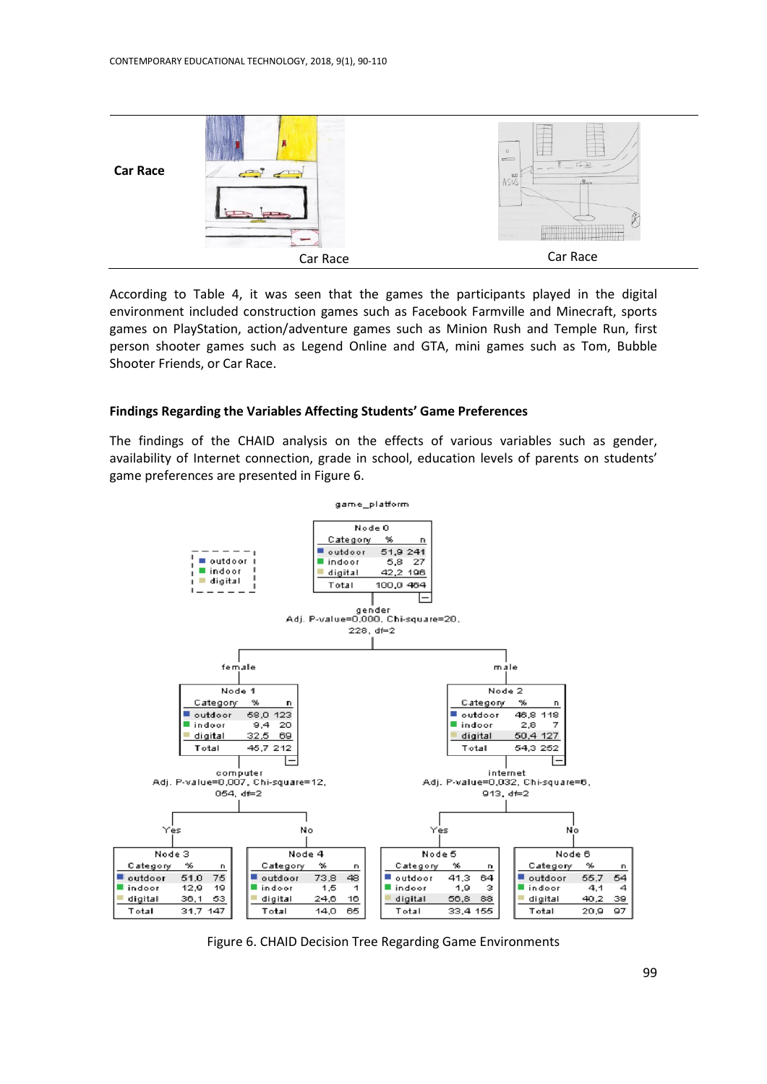|                 |               | $\sigma$<br>$\equiv$                                                                  |
|-----------------|---------------|---------------------------------------------------------------------------------------|
| <b>Car Race</b> | $\rightarrow$ | $= \overline{L_{\text{max}}}$<br>区<br>$R_{\text{max}}$<br>$\sim$ $\sim$ $\sim$ $\sim$ |
|                 | Car Race      | Car Race                                                                              |

According to Table 4, it was seen that the games the participants played in the digital environment included construction games such as Facebook Farmville and Minecraft, sports games on PlayStation, action/adventure games such as Minion Rush and Temple Run, first person shooter games such as Legend Online and GTA, mini games such as Tom, Bubble Shooter Friends, or Car Race.

## **Findings Regarding the Variables Affecting Students' Game Preferences**

The findings of the CHAID analysis on the effects of various variables such as gender, availability of Internet connection, grade in school, education levels of parents on students' game preferences are presented in Figure 6.



Figure 6. CHAID Decision Tree Regarding Game Environments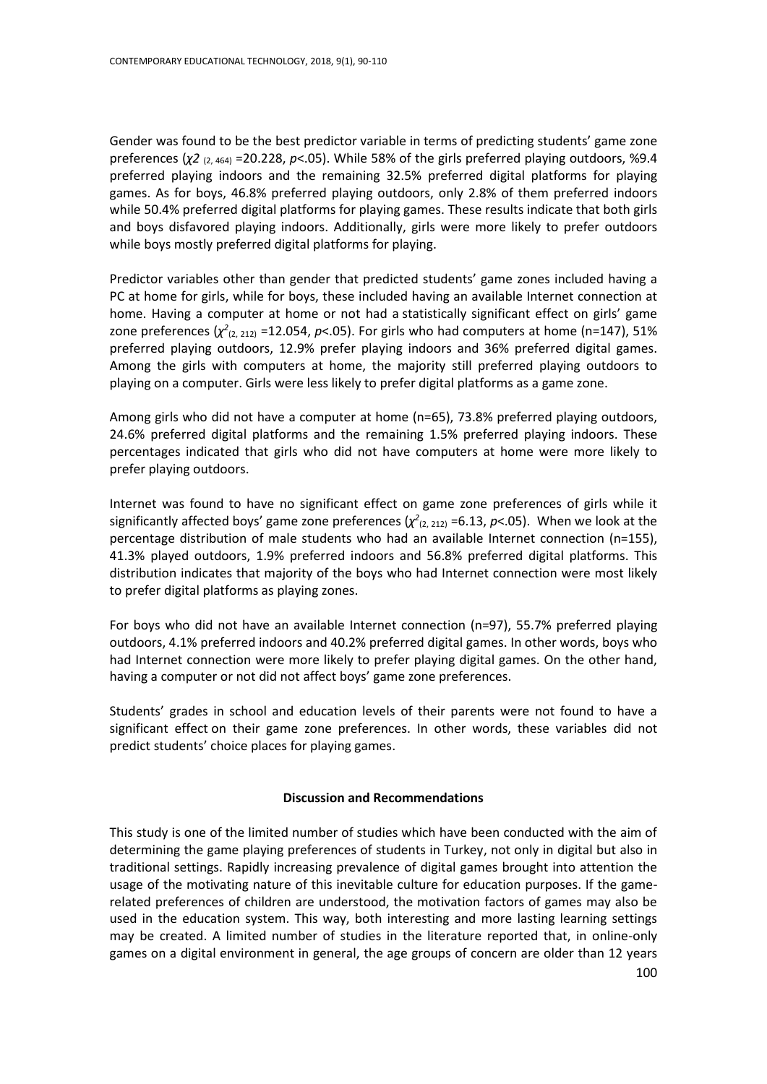Gender was found to be the best predictor variable in terms of predicting students' game zone preferences (*χ2* (2, 464) =20.228, *p*<.05). While 58% of the girls preferred playing outdoors, %9.4 preferred playing indoors and the remaining 32.5% preferred digital platforms for playing games. As for boys, 46.8% preferred playing outdoors, only 2.8% of them preferred indoors while 50.4% preferred digital platforms for playing games. These results indicate that both girls and boys disfavored playing indoors. Additionally, girls were more likely to prefer outdoors while boys mostly preferred digital platforms for playing.

Predictor variables other than gender that predicted students' game zones included having a PC at home for girls, while for boys, these included having an available Internet connection at home. Having a computer at home or not had a statistically significant effect on girls' game zone preferences  $(\chi^2_{(2, 212)}$  =12.054,  $p<0.05$ ). For girls who had computers at home (n=147), 51% preferred playing outdoors, 12.9% prefer playing indoors and 36% preferred digital games. Among the girls with computers at home, the majority still preferred playing outdoors to playing on a computer. Girls were less likely to prefer digital platforms as a game zone.

Among girls who did not have a computer at home (n=65), 73.8% preferred playing outdoors, 24.6% preferred digital platforms and the remaining 1.5% preferred playing indoors. These percentages indicated that girls who did not have computers at home were more likely to prefer playing outdoors.

Internet was found to have no significant effect on game zone preferences of girls while it significantly affected boys' game zone preferences  $(\chi^2_{(2, 212)} = 6.13, p<.05)$ . When we look at the percentage distribution of male students who had an available Internet connection (n=155), 41.3% played outdoors, 1.9% preferred indoors and 56.8% preferred digital platforms. This distribution indicates that majority of the boys who had Internet connection were most likely to prefer digital platforms as playing zones.

For boys who did not have an available Internet connection (n=97), 55.7% preferred playing outdoors, 4.1% preferred indoors and 40.2% preferred digital games. In other words, boys who had Internet connection were more likely to prefer playing digital games. On the other hand, having a computer or not did not affect boys' game zone preferences.

Students' grades in school and education levels of their parents were not found to have a significant effect on their game zone preferences. In other words, these variables did not predict students' choice places for playing games.

# **Discussion and Recommendations**

100 This study is one of the limited number of studies which have been conducted with the aim of determining the game playing preferences of students in Turkey, not only in digital but also in traditional settings. Rapidly increasing prevalence of digital games brought into attention the usage of the motivating nature of this inevitable culture for education purposes. If the gamerelated preferences of children are understood, the motivation factors of games may also be used in the education system. This way, both interesting and more lasting learning settings may be created. A limited number of studies in the literature reported that, in online-only games on a digital environment in general, the age groups of concern are older than 12 years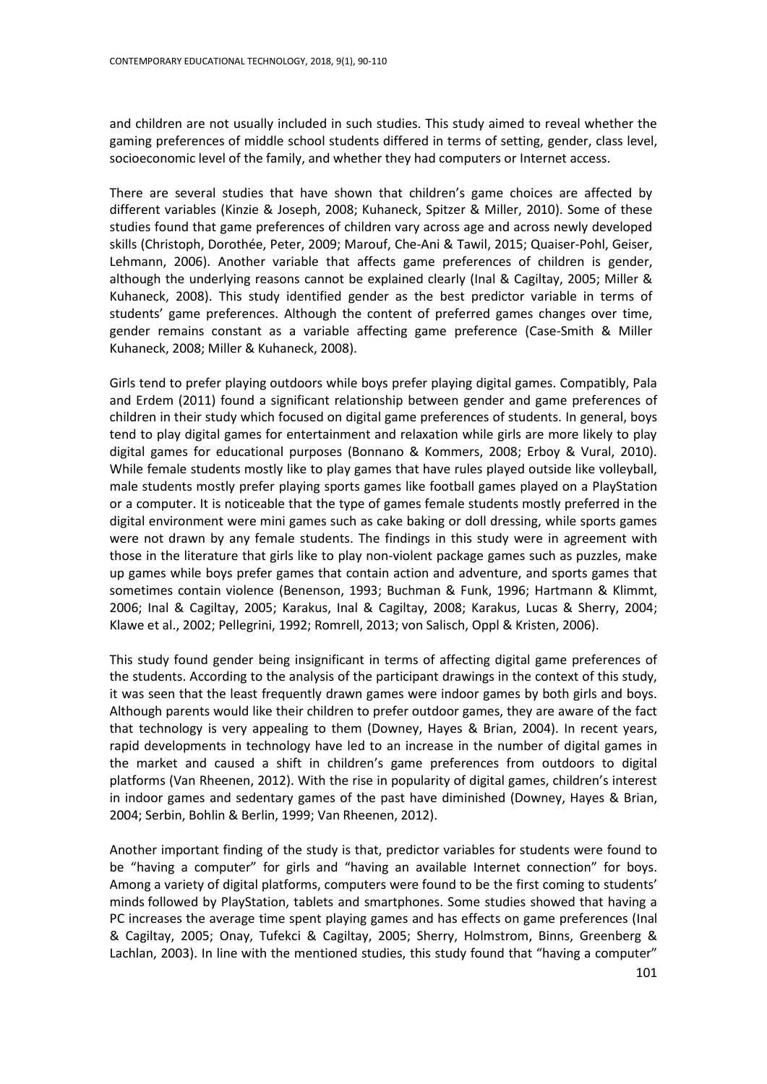and children are not usually included in such studies. This study aimed to reveal whether the gaming preferences of middle school students differed in terms of setting, gender, class level, socioeconomic level of the family, and whether they had computers or Internet access.

There are several studies that have shown that children's game choices are affected by different variables (Kinzie & Joseph, 2008; Kuhaneck, Spitzer & Miller, 2010). Some of these studies found that game preferences of children vary across age and across newly developed skills (Christoph, Dorothée, Peter, 2009; Marouf, Che-Ani & Tawil, 2015; Quaiser-Pohl, Geiser, Lehmann, 2006). Another variable that affects game preferences of children is gender, although the underlying reasons cannot be explained clearly (Inal & Cagiltay, 2005; Miller & Kuhaneck, 2008). This study identified gender as the best predictor variable in terms of students' game preferences. Although the content of preferred games changes over time, gender remains constant as a variable affecting game preference (Case-Smith & Miller Kuhaneck, 2008; Miller & Kuhaneck, 2008).

Girls tend to prefer playing outdoors while boys prefer playing digital games. Compatibly, Pala and Erdem (2011) found a significant relationship between gender and game preferences of children in their study which focused on digital game preferences of students. In general, boys tend to play digital games for entertainment and relaxation while girls are more likely to play digital games for educational purposes (Bonnano & Kommers, 2008; Erboy & Vural, 2010). While female students mostly like to play games that have rules played outside like volleyball, male students mostly prefer playing sports games like football games played on a PlayStation or a computer. It is noticeable that the type of games female students mostly preferred in the digital environment were mini games such as cake baking or doll dressing, while sports games were not drawn by any female students. The findings in this study were in agreement with those in the literature that girls like to play non-violent package games such as puzzles, make up games while boys prefer games that contain action and adventure, and sports games that sometimes contain violence (Benenson, 1993; Buchman & Funk, 1996; Hartmann & Klimmt, 2006; Inal & Cagiltay, 2005; Karakus, Inal & Cagiltay, 2008; Karakus, Lucas & Sherry, 2004; Klawe et al., 2002; Pellegrini, 1992; Romrell, 2013; von Salisch, Oppl & Kristen, 2006).

This study found gender being insignificant in terms of affecting digital game preferences of the students. According to the analysis of the participant drawings in the context of this study, it was seen that the least frequently drawn games were indoor games by both girls and boys. Although parents would like their children to prefer outdoor games, they are aware of the fact that technology is very appealing to them (Downey, Hayes & Brian, 2004). In recent years, rapid developments in technology have led to an increase in the number of digital games in the market and caused a shift in children's game preferences from outdoors to digital platforms (Van Rheenen, 2012). With the rise in popularity of digital games, children's interest in indoor games and sedentary games of the past have diminished (Downey, Hayes & Brian, 2004; Serbin, Bohlin & Berlin, 1999; Van Rheenen, 2012).

Another important finding of the study is that, predictor variables for students were found to be "having a computer" for girls and "having an available Internet connection" for boys. Among a variety of digital platforms, computers were found to be [the first coming to students'](http://tureng.com/tr/turkce-ingilizce/the%20first%20thing%20coming%20to%20mind)  [minds](http://tureng.com/tr/turkce-ingilizce/the%20first%20thing%20coming%20to%20mind) followed by PlayStation, tablets and smartphones. Some studies showed that having a PC increases the average time spent playing games and has effects on game preferences (Inal & Cagiltay, 2005; Onay, Tufekci & Cagiltay, 2005; Sherry, Holmstrom, Binns, Greenberg & Lachlan, 2003). In line with the mentioned studies, this study found that "having a computer"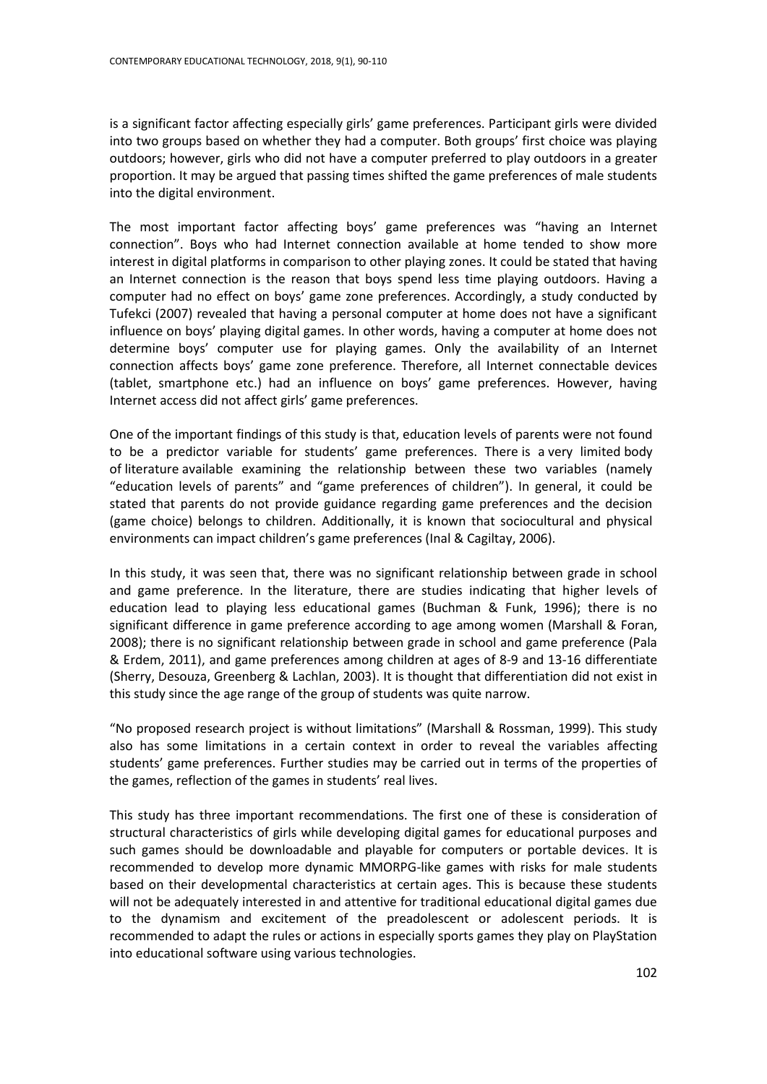is a significant factor affecting especially girls' game preferences. Participant girls were divided into two groups based on whether they had a computer. Both groups' first choice was playing outdoors; however, girls who did not have a computer preferred to play outdoors in a greater proportion. It may be argued that passing times shifted the game preferences of male students into the digital environment.

The most important factor affecting boys' game preferences was "having an Internet connection". Boys who had Internet connection available at home tended to show more interest in digital platforms in comparison to other playing zones. It could be stated that having an Internet connection is the reason that boys spend less time playing outdoors. Having a computer had no effect on boys' game zone preferences. Accordingly, a study conducted by Tufekci (2007) revealed that having a personal computer at home does not have a significant influence on boys' playing digital games. In other words, having a computer at home does not determine boys' computer use for playing games. Only the availability of an Internet connection affects boys' game zone preference. Therefore, all Internet connectable devices (tablet, smartphone etc.) had an influence on boys' game preferences. However, having Internet access did not affect girls' game preferences.

One of the important findings of this study is that, education levels of parents were not found to be a predictor variable for students' game preferences. There is a very limited body of literature available examining the relationship between these two variables (namely "education levels of parents" and "game preferences of children"). In general, it could be stated that parents do not provide guidance regarding game preferences and the decision (game choice) belongs to children. Additionally, it is known that sociocultural and physical environments can impact children's game preferences (Inal & Cagiltay, 2006).

In this study, it was seen that, there was no significant relationship between grade in school and game preference. In the literature, there are studies indicating that higher levels of education lead to playing less educational games (Buchman & Funk, 1996); there is no significant difference in game preference according to age among women (Marshall & Foran, 2008); there is no significant relationship between grade in school and game preference (Pala & Erdem, 2011), and game preferences among children at ages of 8-9 and 13-16 differentiate (Sherry, Desouza, Greenberg & Lachlan, 2003). It is thought that differentiation did not exist in this study since the age range of the group of students was quite narrow.

"No proposed research project is without limitations" (Marshall & Rossman, 1999). This study also has some limitations in a certain context in order to reveal the variables affecting students' game preferences. Further studies may be carried out in terms of the properties of the games, reflection of the games in students' real lives.

This study has three important recommendations. The first one of these is consideration of structural characteristics of girls while developing digital games for educational purposes and such games should be downloadable and playable for computers or portable devices. It is recommended to develop more dynamic MMORPG-like games with risks for male students based on their developmental characteristics at certain ages. This is because these students will not be adequately interested in and attentive for traditional educational digital games due to the dynamism and excitement of the preadolescent or adolescent periods. It is recommended to adapt the rules or actions in especially sports games they play on PlayStation into educational software using various technologies.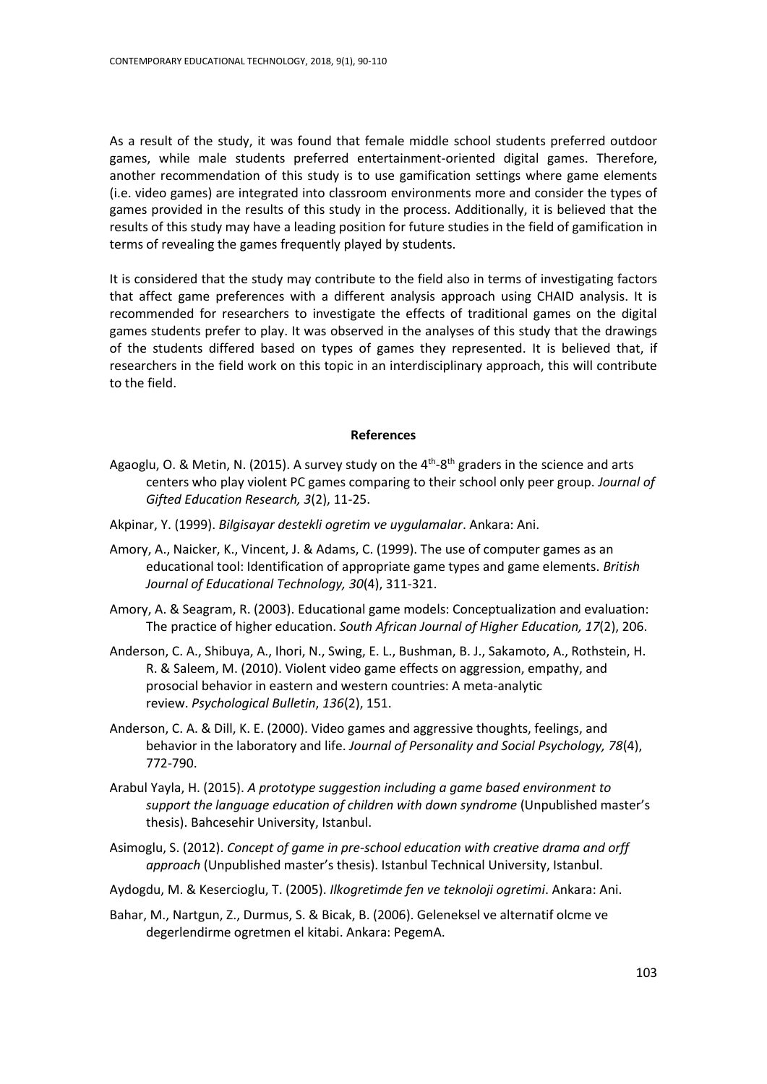As a result of the study, it was found that female middle school students preferred outdoor games, while male students preferred entertainment-oriented digital games. Therefore, another recommendation of this study is to use gamification settings where game elements (i.e. video games) are integrated into classroom environments more and consider the types of games provided in the results of this study in the process. Additionally, it is believed that the results of this study may have a leading position for future studies in the field of gamification in terms of revealing the games frequently played by students.

It is considered that the study may contribute to the field also in terms of investigating factors that affect game preferences with a different analysis approach using CHAID analysis. It is recommended for researchers to investigate the effects of traditional games on the digital games students prefer to play. It was observed in the analyses of this study that the drawings of the students differed based on types of games they represented. It is believed that, if researchers in the field work on this topic in an interdisciplinary approach, this will contribute to the field.

## **References**

- Agaoglu, O. & Metin, N. (2015). A survey study on the  $4<sup>th</sup>$ -8<sup>th</sup> graders in the science and arts centers who play violent PC games comparing to their school only peer group. *Journal of Gifted Education Research, 3*(2), 11-25.
- Akpinar, Y. (1999). *Bilgisayar destekli ogretim ve uygulamalar*. Ankara: Ani.
- Amory, A., Naicker, K., Vincent, J. & Adams, C. (1999). The use of computer games as an educational tool: Identification of appropriate game types and game elements. *British Journal of Educational Technology, 30*(4), 311-321.
- Amory, A. & Seagram, R. (2003). Educational game models: Conceptualization and evaluation: The practice of higher education. *South African Journal of Higher Education, 17*(2), 206.
- Anderson, C. A., Shibuya, A., Ihori, N., Swing, E. L., Bushman, B. J., Sakamoto, A., Rothstein, H. R. & Saleem, M. (2010). Violent video game effects on aggression, empathy, and prosocial behavior in eastern and western countries: A meta-analytic review. *Psychological Bulletin*, *136*(2), 151.
- Anderson, C. A. & Dill, K. E. (2000). Video games and aggressive thoughts, feelings, and behavior in the laboratory and life. *Journal of Personality and Social Psychology, 78*(4), 772-790.
- Arabul Yayla, H. (2015). *A prototype suggestion including a game based environment to support the language education of children with down syndrome* (Unpublished master's thesis). Bahcesehir University, Istanbul.
- Asimoglu, S. (2012). *Concept of game in pre-school education with creative drama and orff approach* (Unpublished master's thesis). Istanbul Technical University, Istanbul.
- Aydogdu, M. & Kesercioglu, T. (2005). *Ilkogretimde fen ve teknoloji ogretimi*. Ankara: Ani.
- Bahar, M., Nartgun, Z., Durmus, S. & Bicak, B. (2006). Geleneksel ve alternatif olcme ve degerlendirme ogretmen el kitabi. Ankara: PegemA.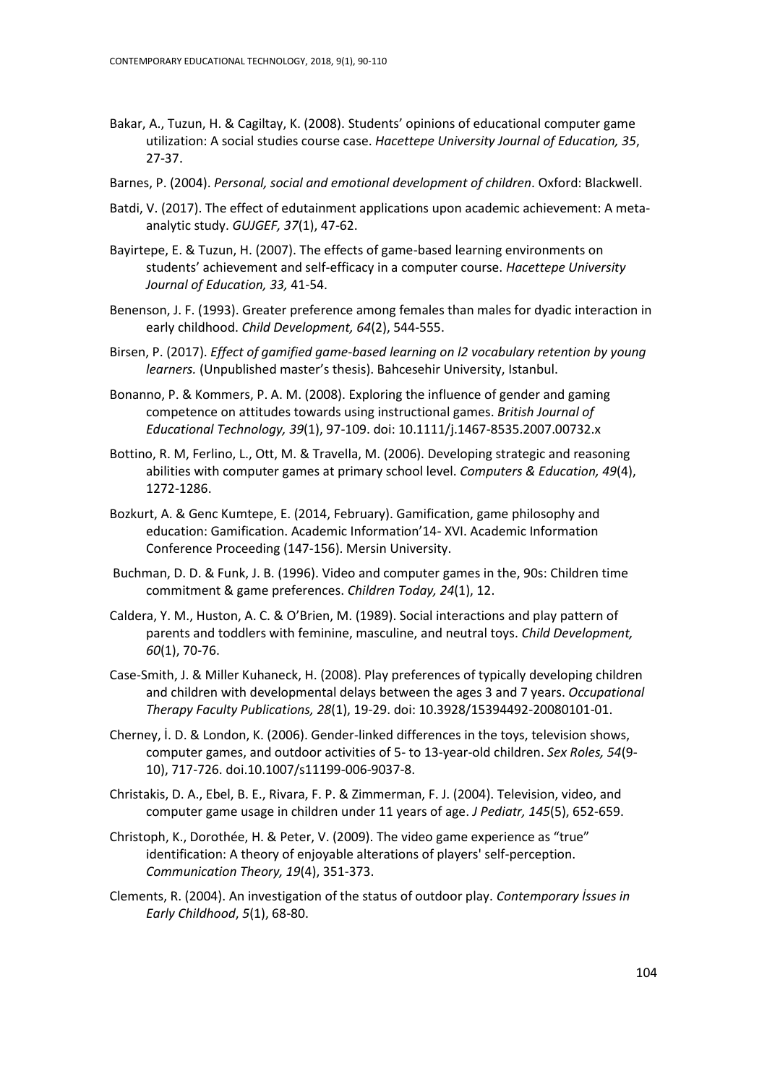- Bakar, A., Tuzun, H. & Cagiltay, K. (2008). Students' opinions of educational computer game utilization: A social studies course case. *Hacettepe University Journal of Education, 35*, 27-37.
- Barnes, P. (2004). *Personal, social and emotional development of children*. Oxford: Blackwell.
- Batdi, V. (2017). The effect of edutainment applications upon academic achievement: A metaanalytic study. *GUJGEF, 37*(1), 47-62.
- Bayirtepe, E. & Tuzun, H. (2007). The effects of game-based learning environments on students' achievement and self-efficacy in a computer course. *Hacettepe University Journal of Education, 33,* 41-54.
- Benenson, J. F. (1993). Greater preference among females than males for dyadic interaction in early childhood. *Child Development, 64*(2), 544-555.
- Birsen, P. (2017). *Effect of gamified game-based learning on l2 vocabulary retention by young learners.* (Unpublished master's thesis). Bahcesehir University, Istanbul.
- Bonanno, P. & Kommers, P. A. M. (2008). Exploring the influence of gender and gaming competence on attitudes towards using instructional games. *British Journal of Educational Technology, 39*(1), 97-109. doi: 10.1111/j.1467-8535.2007.00732.x
- Bottino, R. M, Ferlino, L., Ott, M. & Travella, M. (2006). Developing strategic and reasoning abilities with computer games at primary school level. *Computers & Education, 49*(4), 1272-1286.
- Bozkurt, A. & Genc Kumtepe, E. (2014, February). Gamification, game philosophy and education: Gamification. Academic Information'14- XVI. Academic Information Conference Proceeding (147-156). Mersin University.
- Buchman, D. D. & Funk, J. B. (1996). Video and computer games in the, 90s: Children time commitment & game preferences. *Children Today, 24*(1), 12.
- Caldera, Y. M., Huston, A. C. & O'Brien, M. (1989). Social interactions and play pattern of parents and toddlers with feminine, masculine, and neutral toys. *Child Development, 60*(1), 70-76.
- Case-Smith, J. & Miller Kuhaneck, H. (2008). Play preferences of typically developing children and children with developmental delays between the ages 3 and 7 years. *Occupational Therapy Faculty Publications, 28*(1), 19-29. doi: 10.3928/15394492-20080101-01.
- Cherney, İ. D. & London, K. (2006). Gender-linked differences in the toys, television shows, computer games, and outdoor activities of 5- to 13-year-old children. *Sex Roles, 54*(9- 10), 717-726. doi.10.1007/s11199-006-9037-8.
- Christakis, D. A., Ebel, B. E., Rivara, F. P. & Zimmerman, F. J. (2004). Television, video, and computer game usage in children under 11 years of age. *J Pediatr, 145*(5), 652-659.
- Christoph, K., Dorothée, H. & Peter, V. (2009). The video game experience as "true" identification: A theory of enjoyable alterations of players' self-perception. *Communication Theory, 19*(4), 351-373.
- Clements, R. (2004). An investigation of the status of outdoor play. *Contemporary İssues in Early Childhood*, *5*(1), 68-80.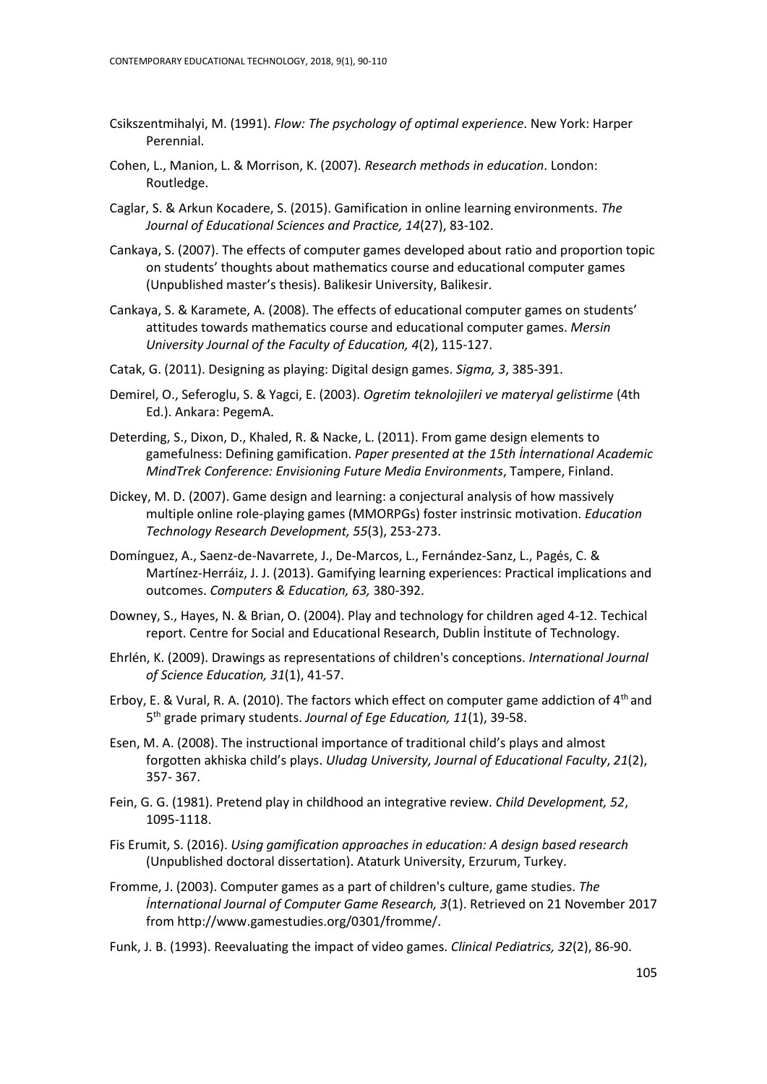- Csikszentmihalyi, M. (1991). *Flow: The psychology of optimal experience*. New York: Harper Perennial.
- Cohen, L., Manion, L. & Morrison, K. (2007). *Research methods in education*. London: Routledge.
- Caglar, S. & Arkun Kocadere, S. (2015). Gamification in online learning environments. *The Journal of Educational Sciences and Practice, 14*(27), 83-102.
- Cankaya, S. (2007). The effects of computer games developed about ratio and proportion topic on students' thoughts about mathematics course and educational computer games (Unpublished master's thesis). Balikesir University, Balikesir.
- Cankaya, S. & Karamete, A. (2008). The effects of educational computer games on students' attitudes towards mathematics course and educational computer games. *Mersin University Journal of the Faculty of Education, 4*(2), 115-127.
- Catak, G. (2011). Designing as playing: Digital design games. *Sigma, 3*, 385-391.
- Demirel, O., Seferoglu, S. & Yagci, E. (2003). *Ogretim teknolojileri ve materyal gelistirme* (4th Ed.). Ankara: PegemA.
- Deterding, S., Dixon, D., Khaled, R. & Nacke, L. (2011). From game design elements to gamefulness: Defining gamification. *Paper presented at the 15th İnternational Academic MindTrek Conference: Envisioning Future Media Environments*, Tampere, Finland.
- Dickey, M. D. (2007). Game design and learning: a conjectural analysis of how massively multiple online role-playing games (MMORPGs) foster instrinsic motivation. *Education Technology Research Development, 55*(3), 253-273.
- Domínguez, A., Saenz-de-Navarrete, J., De-Marcos, L., Fernández-Sanz, L., Pagés, C. & Martínez-Herráiz, J. J. (2013). Gamifying learning experiences: Practical implications and outcomes. *Computers & Education, 63,* 380-392.
- Downey, S., Hayes, N. & Brian, O. (2004). Play and technology for children aged 4-12. Techical report. Centre for Social and Educational Research, Dublin İnstitute of Technology.
- Ehrlén, K. (2009). Drawings as representations of children's conceptions. *International Journal of Science Education, 31*(1), 41-57.
- Erboy, E. & Vural, R. A. (2010). The factors which effect on computer game addiction of  $4<sup>th</sup>$  and 5 th grade primary students. *Journal of Ege Education, 11*(1), 39-58.
- Esen, M. A. (2008). The instructional importance of traditional child's plays and almost forgotten akhiska child's plays. *Uludag University, Journal of Educational Faculty*, *21*(2), 357- 367.
- Fein, G. G. (1981). Pretend play in childhood an integrative review. *Child Development, 52*, 1095-1118.
- Fis Erumit, S. (2016). *Using gamification approaches in education: A design based research* (Unpublished doctoral dissertation). Ataturk University, Erzurum, Turkey.
- Fromme, J. (2003). Computer games as a part of children's culture, game studies. *The İnternational Journal of Computer Game Research, 3*(1). Retrieved on 21 November 2017 from http://www.gamestudies.org/0301/fromme/.
- Funk, J. B. (1993). Reevaluating the impact of video games. *Clinical Pediatrics, 32*(2), 86-90.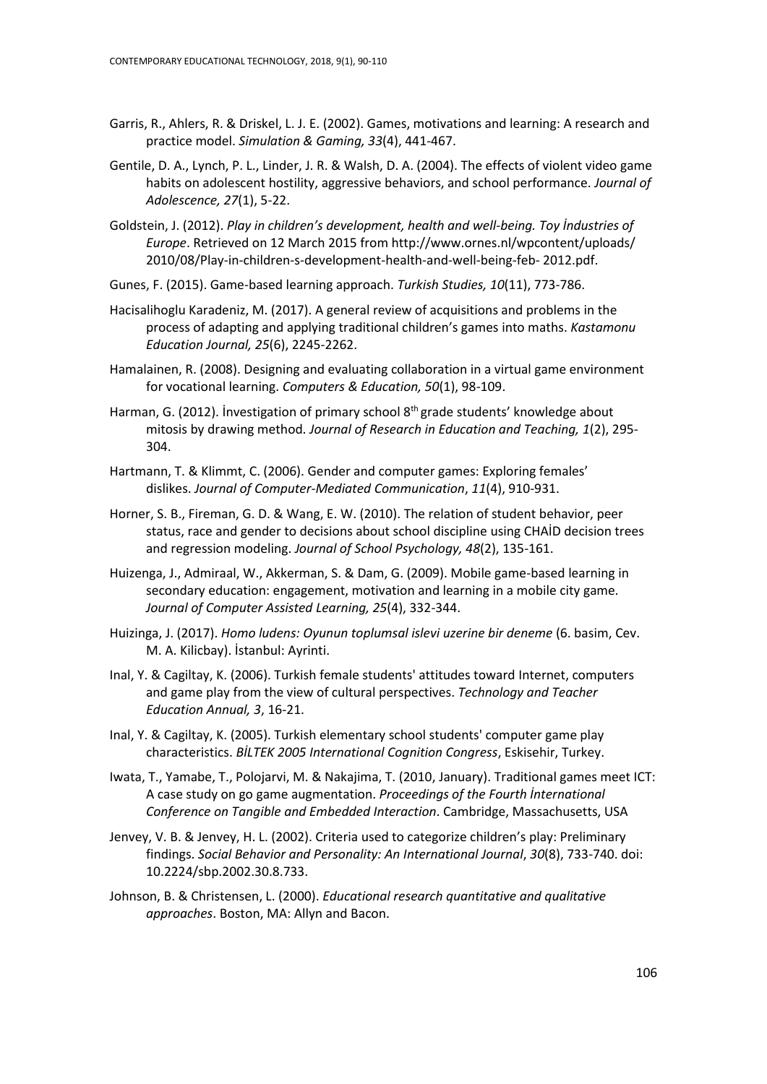- Garris, R., Ahlers, R. & Driskel, L. J. E. (2002). Games, motivations and learning: A research and practice model. *Simulation & Gaming, 33*(4), 441-467.
- Gentile, D. A., Lynch, P. L., Linder, J. R. & Walsh, D. A. (2004). The effects of violent video game habits on adolescent hostility, aggressive behaviors, and school performance. *Journal of Adolescence, 27*(1), 5-22.
- Goldstein, J. (2012). *Play in children's development, health and well-being. Toy İndustries of Europe*. Retrieved on 12 March 2015 from<http://www.ornes.nl/wpcontent/uploads/> 2010/08/Play-in-children-s-development-health-and-well-being-feb- 2012.pdf.
- Gunes, F. (2015). Game-based learning approach. *Turkish Studies, 10*(11), 773-786.
- Hacisalihoglu Karadeniz, M. (2017). A general review of acquisitions and problems in the process of adapting and applying traditional children's games into maths. *Kastamonu Education Journal, 25*(6), 2245-2262.
- Hamalainen, R. (2008). Designing and evaluating collaboration in a virtual game environment for vocational learning. *Computers & Education, 50*(1), 98-109.
- Harman, G. (2012). Investigation of primary school 8<sup>th</sup> grade students' knowledge about mitosis by drawing method. *Journal of Research in Education and Teaching, 1*(2), 295- 304.
- Hartmann, T. & Klimmt, C. (2006). Gender and computer games: Exploring females' dislikes. *Journal of Computer‐Mediated Communication*, *11*(4), 910-931.
- Horner, S. B., Fireman, G. D. & Wang, E. W. (2010). The relation of student behavior, peer status, race and gender to decisions about school discipline using CHAİD decision trees and regression modeling. *Journal of School Psychology, 48*(2), 135-161.
- Huizenga, J., Admiraal, W., Akkerman, S. & Dam, G. (2009). Mobile game-based learning in secondary education: engagement, motivation and learning in a mobile city game*. Journal of Computer Assisted Learning, 25*(4), 332-344.
- Huizinga, J. (2017). *Homo ludens: Oyunun toplumsal islevi uzerine bir deneme* (6. basim, Cev. M. A. Kilicbay). İstanbul: Ayrinti.
- Inal, Y. & Cagiltay, K. (2006). Turkish female students' attitudes toward Internet, computers and game play from the view of cultural perspectives. *Technology and Teacher Education Annual, 3*, 16-21.
- Inal, Y. & Cagiltay, K. (2005). Turkish elementary school students' computer game play characteristics. *BİLTEK 2005 International Cognition Congress*, Eskisehir, Turkey.
- Iwata, T., Yamabe, T., Polojarvi, M. & Nakajima, T. (2010, January). Traditional games meet ICT: A case study on go game augmentation. *Proceedings of the Fourth İnternational Conference on Tangible and Embedded Interaction*. Cambridge, Massachusetts, USA
- Jenvey, V. B. & Jenvey, H. L. (2002). Criteria used to categorize children's play: Preliminary findings. *Social Behavior and Personality: An International Journal*, *30*(8), 733-740. doi: 10.2224/sbp.2002.30.8.733.
- Johnson, B. & Christensen, L. (2000). *Educational research quantitative and qualitative approaches*. Boston, MA: Allyn and Bacon.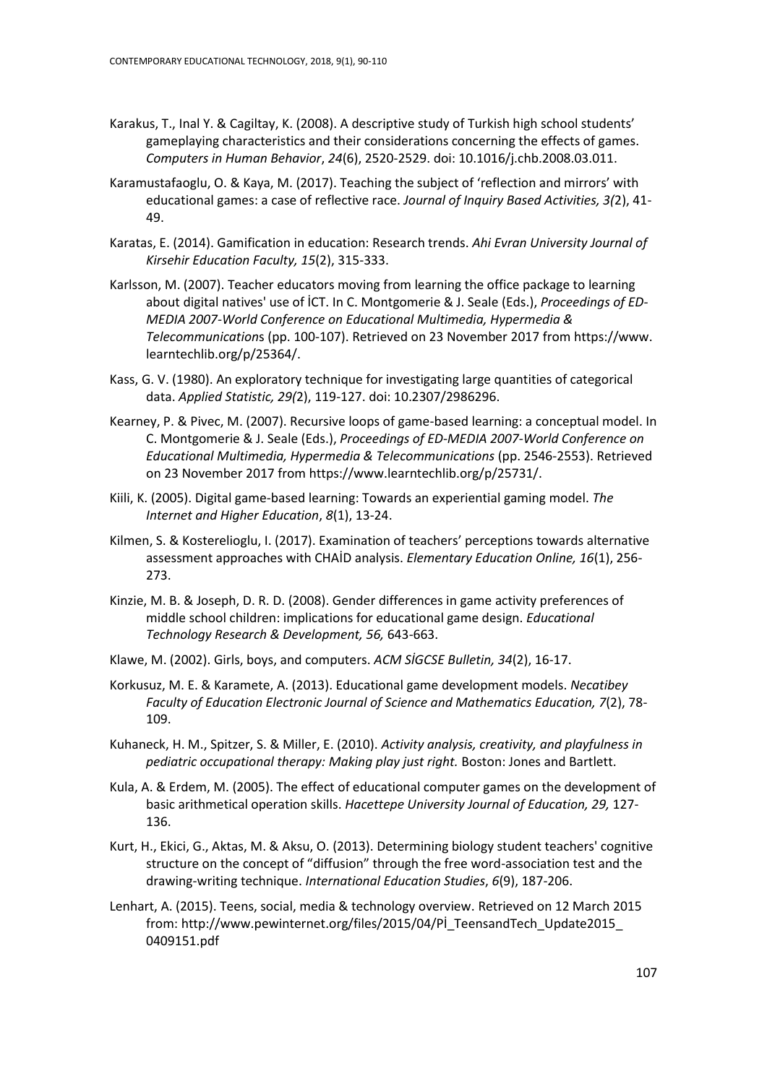- Karakus, T., Inal Y. & Cagiltay, K. (2008). A descriptive study of Turkish high school students' gameplaying characteristics and their considerations concerning the effects of games. *Computers in Human Behavior*, *24*(6), 2520-2529. doi: 10.1016/j.chb.2008.03.011.
- Karamustafaoglu, O. & Kaya, M. (2017). Teaching the subject of 'reflection and mirrors' with educational games: a case of reflective race. *Journal of Inquiry Based Activities, 3(*2), 41- 49.
- Karatas, E. (2014). Gamification in education: Research trends. *Ahi Evran University Journal of Kirsehir Education Faculty, 15*(2), 315-333.
- Karlsson, M. (2007). Teacher educators moving from learning the office package to learning about digital natives' use of İCT. In C. Montgomerie & J. Seale (Eds.), *Proceedings of ED-MEDIA 2007-World Conference on Educational Multimedia, Hypermedia & Telecommunication*s (pp. 100-107). Retrieved on 23 November 2017 fro[m https://www.](https://www/) learntechlib.org/p/25364/.
- Kass, G. V. (1980). An exploratory technique for investigating large quantities of categorical data. *Applied Statistic, 29(*2), 119-127. doi: 10.2307/2986296.
- Kearney, P. & Pivec, M. (2007). Recursive loops of game-based learning: a conceptual model. In C. Montgomerie & J. Seale (Eds.), *Proceedings of ED-MEDIA 2007-World Conference on Educational Multimedia, Hypermedia & Telecommunications* (pp. 2546-2553). Retrieved on 23 November 2017 from https://www.learntechlib.org/p/25731/.
- Kiili, K. (2005). Digital game-based learning: Towards an experiential gaming model. *The Internet and Higher Education*, *8*(1), 13-24.
- Kilmen, S. & Kosterelioglu, I. (2017). Examination of teachers' perceptions towards alternative assessment approaches with CHAİD analysis. *Elementary Education Online, 16*(1), 256- 273.
- Kinzie, M. B. & Joseph, D. R. D. (2008). Gender differences in game activity preferences of middle school children: implications for educational game design. *Educational Technology Research & Development, 56,* 643-663.
- Klawe, M. (2002). Girls, boys, and computers. *ACM SİGCSE Bulletin, 34*(2), 16-17.
- Korkusuz, M. E. & Karamete, A. (2013). Educational game development models. *Necatibey Faculty of Education Electronic Journal of Science and Mathematics Education, 7*(2), 78- 109.
- Kuhaneck, H. M., Spitzer, S. & Miller, E. (2010). *Activity analysis, creativity, and playfulness in pediatric occupational therapy: Making play just right.* Boston: Jones and Bartlett.
- Kula, A. & Erdem, M. (2005). The effect of educational computer games on the development of basic arithmetical operation skills. *Hacettepe University Journal of Education, 29,* 127- 136.
- Kurt, H., Ekici, G., Aktas, M. & Aksu, O. (2013). Determining biology student teachers' cognitive structure on the concept of "diffusion" through the free word-association test and the drawing-writing technique. *International Education Studies*, *6*(9), 187-206.
- Lenhart, A. (2015). Teens, social, media & technology overview. Retrieved on 12 March 2015 from: h[ttp://www.pewinternet.org/files/2015/04/Pİ\\_TeensandTech\\_Update2015\\_](http://www.pewinternet.org/files/2015/04/Pİ_TeensandTech_Update2015_) 0409151.pdf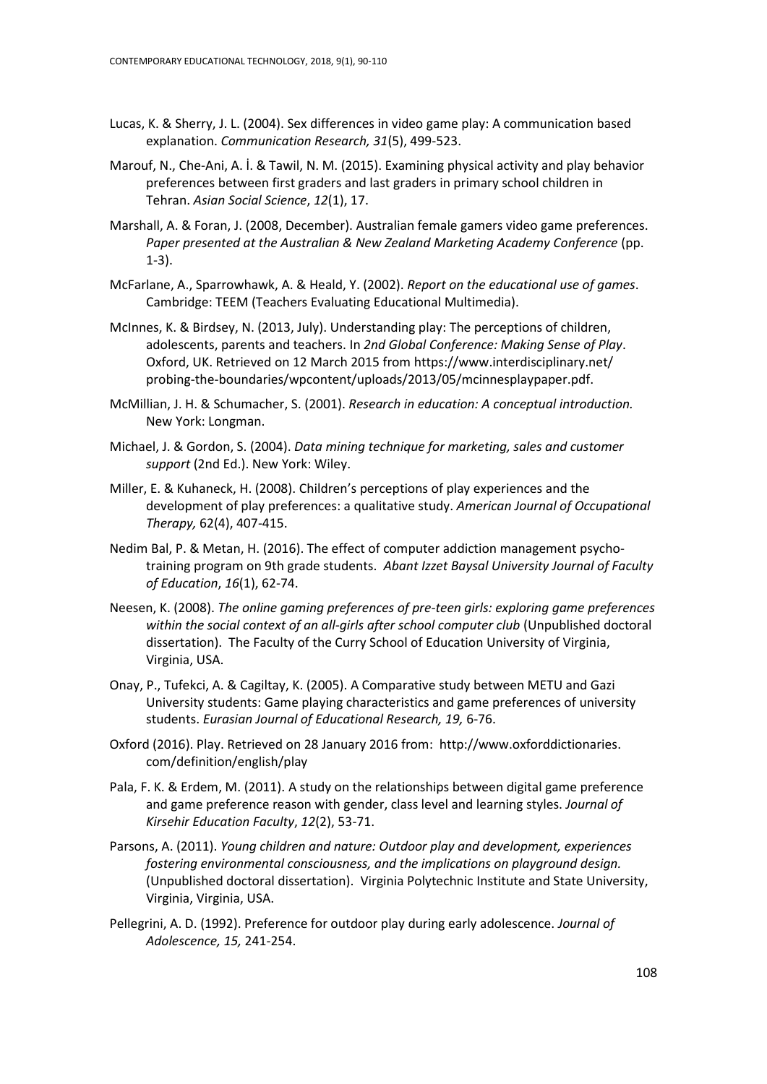- Lucas, K. & Sherry, J. L. (2004). Sex differences in video game play: A communication based explanation. *Communication Research, 31*(5), 499-523.
- Marouf, N., Che-Ani, A. İ. & Tawil, N. M. (2015). Examining physical activity and play behavior preferences between first graders and last graders in primary school children in Tehran. *Asian Social Science*, *12*(1), 17.
- Marshall, A. & Foran, J. (2008, December). Australian female gamers video game preferences. *Paper presented at the Australian & New Zealand Marketing Academy Conference* (pp. 1-3).
- McFarlane, A., Sparrowhawk, A. & Heald, Y. (2002). *Report on the educational use of games*. Cambridge: TEEM (Teachers Evaluating Educational Multimedia).
- McInnes, K. & Birdsey, N. (2013, July). Understanding play: The perceptions of children, adolescents, parents and teachers. In *2nd Global Conference: Making Sense of Play*. Oxford, UK. Retrieved on 12 March 2015 from<https://www.interdisciplinary.net/> probing-the-boundaries/wpcontent/uploads/2013/05/mcinnesplaypaper.pdf.
- McMillian, J. H. & Schumacher, S. (2001). *Research in education: A conceptual introduction.*  New York: Longman.
- Michael, J. & Gordon, S. (2004). *Data mining technique for marketing, sales and customer support* (2nd Ed.). New York: Wiley.
- Miller, E. & Kuhaneck, H. (2008). Children's perceptions of play experiences and the development of play preferences: a qualitative study. *American Journal of Occupational Therapy,* 62(4), 407-415.
- Nedim Bal, P. & Metan, H. (2016). The effect of computer addiction management psychotraining program on 9th grade students. *Abant Izzet Baysal University Journal of Faculty of Education*, *16*(1), 62-74.
- Neesen, K. (2008). *The online gaming preferences of pre-teen girls: exploring game preferences within the social context of an all-girls after school computer club* (Unpublished doctoral dissertation). The Faculty of the Curry School of Education University of Virginia, Virginia, USA.
- Onay, P., Tufekci, A. & Cagiltay, K. (2005). A Comparative study between METU and Gazi University students: Game playing characteristics and game preferences of university students. *Eurasian Journal of Educational Research, 19,* 6-76.
- Oxford (2016). Play. Retrieved on 28 January 2016 from: [http://www.oxforddictionaries.](http://www.oxforddictionaries/) com/definition/english/play
- Pala, F. K. & Erdem, M. (2011). A study on the relationships between digital game preference and game preference reason with gender, class level and learning styles. *Journal of Kirsehir Education Faculty*, *12*(2), 53-71.
- Parsons, A. (2011). *Young children and nature: Outdoor play and development, experiences fostering environmental consciousness, and the implications on playground design.* (Unpublished doctoral dissertation). Virginia Polytechnic Institute and State University, Virginia, Virginia, USA.
- Pellegrini, A. D. (1992). Preference for outdoor play during early adolescence. *Journal of Adolescence, 15,* 241-254.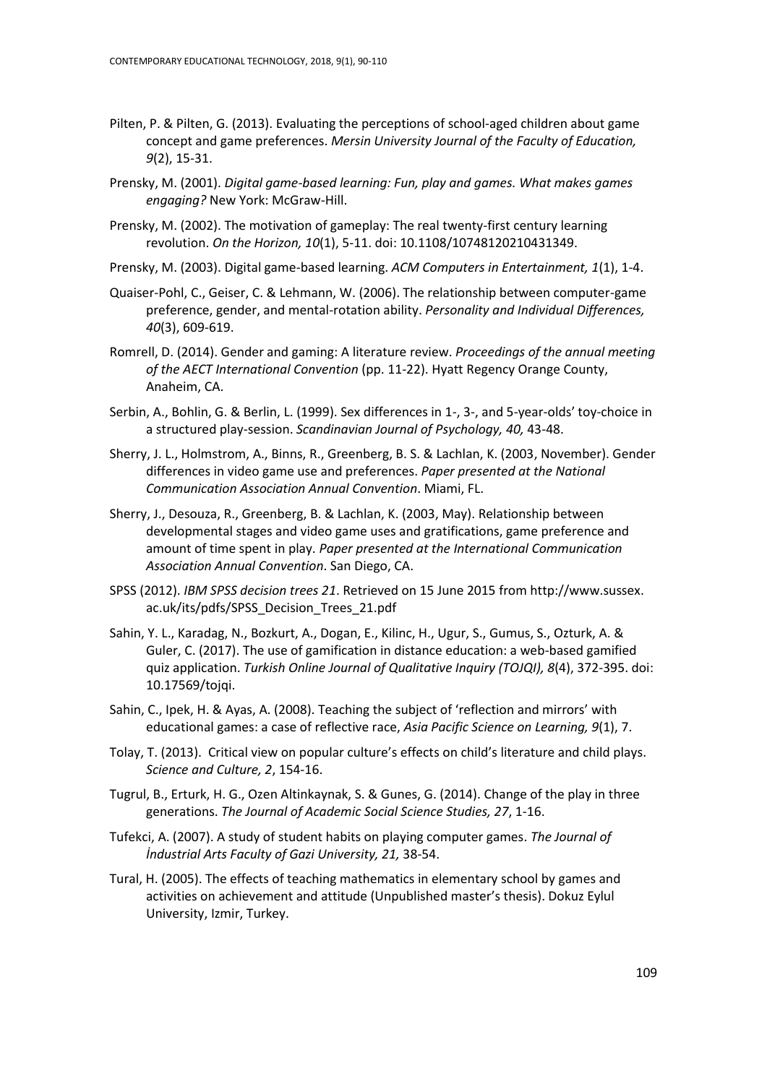- Pilten, P. & Pilten, G. (2013). Evaluating the perceptions of school-aged children about game concept and game preferences. *Mersin University Journal of the Faculty of Education, 9*(2), 15-31.
- Prensky, M. (2001). *Digital game-based learning: Fun, play and games. What makes games engaging?* New York: McGraw-Hill.
- Prensky, M. (2002). The motivation of gameplay: The real twenty‐first century learning revolution. *On the Horizon, 10*(1), 5-11. doi: 10.1108/10748120210431349.
- Prensky, M. (2003). Digital game-based learning. *ACM Computers in Entertainment, 1*(1), 1-4.
- Quaiser-Pohl, C., Geiser, C. & Lehmann, W. (2006). The relationship between computer-game preference, gender, and mental-rotation ability. *Personality and Individual Differences, 40*(3), 609-619.
- Romrell, D. (2014). Gender and gaming: A literature review. *Proceedings of the annual meeting of the AECT International Convention* (pp. 11-22). Hyatt Regency Orange County, Anaheim, CA.
- Serbin, A., Bohlin, G. & Berlin, L. (1999). Sex differences in 1-, 3-, and 5-year-olds' toy-choice in a structured play-session. *Scandinavian Journal of Psychology, 40,* 43-48.
- Sherry, J. L., Holmstrom, A., Binns, R., Greenberg, B. S. & Lachlan, K. (2003, November). Gender differences in video game use and preferences. *Paper presented at the National Communication Association Annual Convention*. Miami, FL.
- Sherry, J., Desouza, R., Greenberg, B. & Lachlan, K. (2003, May). Relationship between developmental stages and video game uses and gratifications, game preference and amount of time spent in play. *Paper presented at the International Communication Association Annual Convention*. San Diego, CA.
- SPSS (2012). *IBM SPSS decision trees 21*. Retrieved on 15 June 2015 from http://www.sussex. ac.uk/its/pdfs/SPSS\_Decision\_Trees\_21.pdf
- Sahin, Y. L., Karadag, N., Bozkurt, A., Dogan, E., Kilinc, H., Ugur, S., Gumus, S., Ozturk, A. & Guler, C. (2017). The use of gamification in distance education: a web-based gamified quiz application. *Turkish Online Journal of Qualitative Inquiry (TOJQI), 8*(4), 372-395. doi: 10.17569/tojqi.
- Sahin, C., Ipek, H. & Ayas, A. (2008). Teaching the subject of 'reflection and mirrors' with educational games: a case of reflective race, *Asia Pacific Science on Learning, 9*(1), 7.
- Tolay, T. (2013). Critical view on popular culture's effects on child's literature and child plays. *Science and Culture, 2*, 154-16.
- Tugrul, B., Erturk, H. G., Ozen Altinkaynak, S. & Gunes, G. (2014). Change of the play in three generations. *The Journal of Academic Social Science Studies, 27*, 1-16.
- Tufekci, A. (2007). A study of student habits on playing computer games. *The Journal of İndustrial Arts Faculty of Gazi University, 21,* 38-54.
- Tural, H. (2005). The effects of teaching mathematics in elementary school by games and activities on achievement and attitude (Unpublished master's thesis). Dokuz Eylul University, Izmir, Turkey.